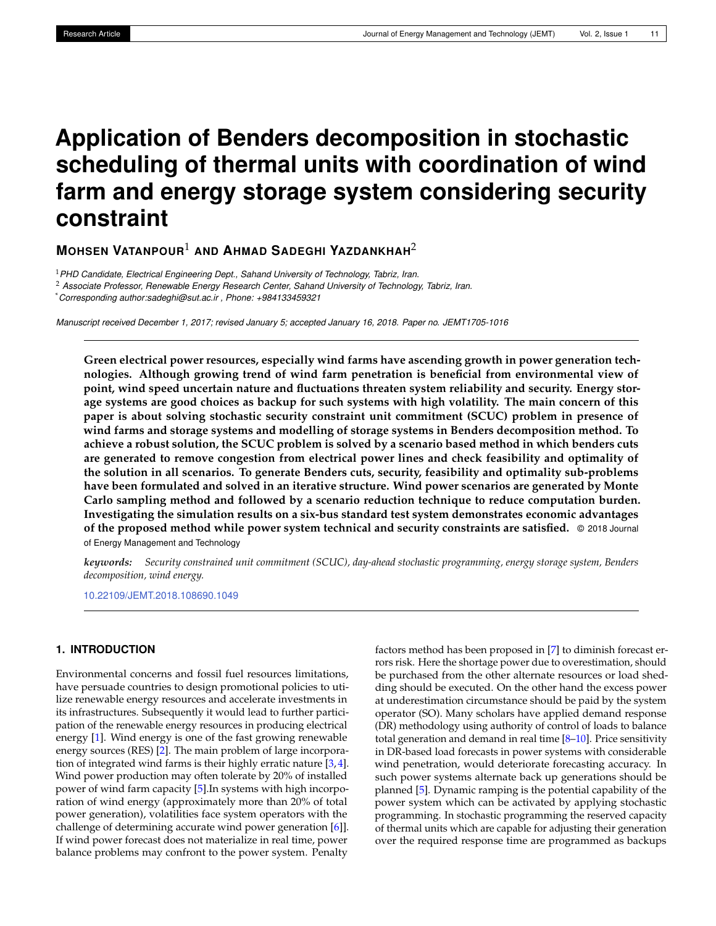# **Application of Benders decomposition in stochastic scheduling of thermal units with coordination of wind farm and energy storage system considering security constraint**

**MOHSEN VATANPOUR**<sup>1</sup> **AND AHMAD SADEGHI YAZDANKHAH**<sup>2</sup>

<sup>1</sup>*PHD Candidate, Electrical Engineering Dept., Sahand University of Technology, Tabriz, Iran.*

<sup>2</sup> *Associate Professor, Renewable Energy Research Center, Sahand University of Technology, Tabriz, Iran.*

\**Corresponding author:sadeghi@sut.ac.ir , Phone: +984133459321*

*Manuscript received December 1, 2017; revised January 5; accepted January 16, 2018. Paper no. JEMT1705-1016*

**Green electrical power resources, especially wind farms have ascending growth in power generation technologies. Although growing trend of wind farm penetration is beneficial from environmental view of point, wind speed uncertain nature and fluctuations threaten system reliability and security. Energy storage systems are good choices as backup for such systems with high volatility. The main concern of this paper is about solving stochastic security constraint unit commitment (SCUC) problem in presence of wind farms and storage systems and modelling of storage systems in Benders decomposition method. To achieve a robust solution, the SCUC problem is solved by a scenario based method in which benders cuts are generated to remove congestion from electrical power lines and check feasibility and optimality of the solution in all scenarios. To generate Benders cuts, security, feasibility and optimality sub-problems have been formulated and solved in an iterative structure. Wind power scenarios are generated by Monte Carlo sampling method and followed by a scenario reduction technique to reduce computation burden. Investigating the simulation results on a six-bus standard test system demonstrates economic advantages of the proposed method while power system technical and security constraints are satisfied.** © 2018 Journal of Energy Management and Technology

*keywords: Security constrained unit commitment (SCUC), day-ahead stochastic programming, energy storage system, Benders decomposition, wind energy.*

<10.22109/JEMT.2018.108690.1049>

# **1. INTRODUCTION**

Environmental concerns and fossil fuel resources limitations, have persuade countries to design promotional policies to utilize renewable energy resources and accelerate investments in its infrastructures. Subsequently it would lead to further participation of the renewable energy resources in producing electrical energy [\[1\]](#page-7-0). Wind energy is one of the fast growing renewable energy sources (RES) [\[2\]](#page-7-1). The main problem of large incorporation of integrated wind farms is their highly erratic nature [\[3,](#page-7-2) [4\]](#page-7-3). Wind power production may often tolerate by 20% of installed power of wind farm capacity [\[5\]](#page-7-4).In systems with high incorporation of wind energy (approximately more than 20% of total power generation), volatilities face system operators with the challenge of determining accurate wind power generation [\[6\]](#page-7-5)]. If wind power forecast does not materialize in real time, power balance problems may confront to the power system. Penalty

factors method has been proposed in [\[7\]](#page-7-6) to diminish forecast errors risk. Here the shortage power due to overestimation, should be purchased from the other alternate resources or load shedding should be executed. On the other hand the excess power at underestimation circumstance should be paid by the system operator (SO). Many scholars have applied demand response (DR) methodology using authority of control of loads to balance total generation and demand in real time [\[8](#page-8-0)[–10\]](#page-8-1). Price sensitivity in DR-based load forecasts in power systems with considerable wind penetration, would deteriorate forecasting accuracy. In such power systems alternate back up generations should be planned [\[5\]](#page-7-4). Dynamic ramping is the potential capability of the power system which can be activated by applying stochastic programming. In stochastic programming the reserved capacity of thermal units which are capable for adjusting their generation over the required response time are programmed as backups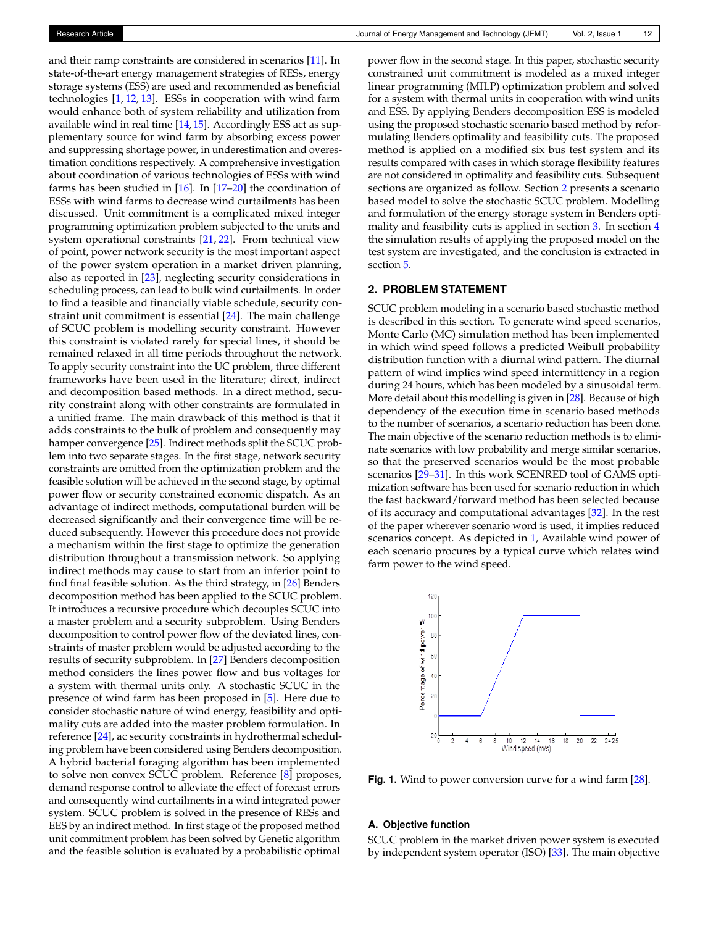and their ramp constraints are considered in scenarios [\[11\]](#page-8-2). In state-of-the-art energy management strategies of RESs, energy storage systems (ESS) are used and recommended as beneficial technologies [\[1,](#page-7-0) [12,](#page-8-3) [13\]](#page-8-4). ESSs in cooperation with wind farm would enhance both of system reliability and utilization from available wind in real time [\[14,](#page-8-5) [15\]](#page-8-6). Accordingly ESS act as supplementary source for wind farm by absorbing excess power and suppressing shortage power, in underestimation and overestimation conditions respectively. A comprehensive investigation about coordination of various technologies of ESSs with wind farms has been studied in  $[16]$ . In  $[17–20]$  $[17–20]$  the coordination of ESSs with wind farms to decrease wind curtailments has been discussed. Unit commitment is a complicated mixed integer programming optimization problem subjected to the units and system operational constraints [\[21,](#page-8-10) [22\]](#page-8-11). From technical view of point, power network security is the most important aspect of the power system operation in a market driven planning, also as reported in [\[23\]](#page-8-12), neglecting security considerations in scheduling process, can lead to bulk wind curtailments. In order to find a feasible and financially viable schedule, security constraint unit commitment is essential [\[24\]](#page-8-13). The main challenge of SCUC problem is modelling security constraint. However this constraint is violated rarely for special lines, it should be remained relaxed in all time periods throughout the network. To apply security constraint into the UC problem, three different frameworks have been used in the literature; direct, indirect and decomposition based methods. In a direct method, security constraint along with other constraints are formulated in a unified frame. The main drawback of this method is that it adds constraints to the bulk of problem and consequently may hamper convergence [\[25\]](#page-8-14). Indirect methods split the SCUC problem into two separate stages. In the first stage, network security constraints are omitted from the optimization problem and the feasible solution will be achieved in the second stage, by optimal power flow or security constrained economic dispatch. As an advantage of indirect methods, computational burden will be decreased significantly and their convergence time will be reduced subsequently. However this procedure does not provide a mechanism within the first stage to optimize the generation distribution throughout a transmission network. So applying indirect methods may cause to start from an inferior point to find final feasible solution. As the third strategy, in [\[26\]](#page-8-15) Benders decomposition method has been applied to the SCUC problem. It introduces a recursive procedure which decouples SCUC into a master problem and a security subproblem. Using Benders decomposition to control power flow of the deviated lines, constraints of master problem would be adjusted according to the results of security subproblem. In [\[27\]](#page-8-16) Benders decomposition method considers the lines power flow and bus voltages for a system with thermal units only. A stochastic SCUC in the presence of wind farm has been proposed in [\[5\]](#page-7-4). Here due to consider stochastic nature of wind energy, feasibility and optimality cuts are added into the master problem formulation. In reference [\[24\]](#page-8-13), ac security constraints in hydrothermal scheduling problem have been considered using Benders decomposition. A hybrid bacterial foraging algorithm has been implemented to solve non convex SCUC problem. Reference [\[8\]](#page-8-0) proposes, demand response control to alleviate the effect of forecast errors and consequently wind curtailments in a wind integrated power system. SCUC problem is solved in the presence of RESs and EES by an indirect method. In first stage of the proposed method unit commitment problem has been solved by Genetic algorithm and the feasible solution is evaluated by a probabilistic optimal

power flow in the second stage. In this paper, stochastic security constrained unit commitment is modeled as a mixed integer linear programming (MILP) optimization problem and solved for a system with thermal units in cooperation with wind units and ESS. By applying Benders decomposition ESS is modeled using the proposed stochastic scenario based method by reformulating Benders optimality and feasibility cuts. The proposed method is applied on a modified six bus test system and its results compared with cases in which storage flexibility features are not considered in optimality and feasibility cuts. Subsequent sections are organized as follow. Section [2](#page-1-0) presents a scenario based model to solve the stochastic SCUC problem. Modelling and formulation of the energy storage system in Benders opti-mality and feasibility cuts is applied in section [3.](#page-3-0) In section [4](#page-5-0) the simulation results of applying the proposed model on the test system are investigated, and the conclusion is extracted in section [5.](#page-7-7)

# <span id="page-1-0"></span>**2. PROBLEM STATEMENT**

SCUC problem modeling in a scenario based stochastic method is described in this section. To generate wind speed scenarios, Monte Carlo (MC) simulation method has been implemented in which wind speed follows a predicted Weibull probability distribution function with a diurnal wind pattern. The diurnal pattern of wind implies wind speed intermittency in a region during 24 hours, which has been modeled by a sinusoidal term. More detail about this modelling is given in [\[28\]](#page-8-17). Because of high dependency of the execution time in scenario based methods to the number of scenarios, a scenario reduction has been done. The main objective of the scenario reduction methods is to eliminate scenarios with low probability and merge similar scenarios, so that the preserved scenarios would be the most probable scenarios [\[29–](#page-8-18)[31\]](#page-8-19). In this work SCENRED tool of GAMS optimization software has been used for scenario reduction in which the fast backward/forward method has been selected because of its accuracy and computational advantages [\[32\]](#page-8-20). In the rest of the paper wherever scenario word is used, it implies reduced scenarios concept. As depicted in [1,](#page-1-1) Available wind power of each scenario procures by a typical curve which relates wind farm power to the wind speed.

<span id="page-1-1"></span>

**Fig. 1.** Wind to power conversion curve for a wind farm [\[28\]](#page-8-17).

#### **A. Objective function**

SCUC problem in the market driven power system is executed by independent system operator (ISO) [\[33\]](#page-8-21). The main objective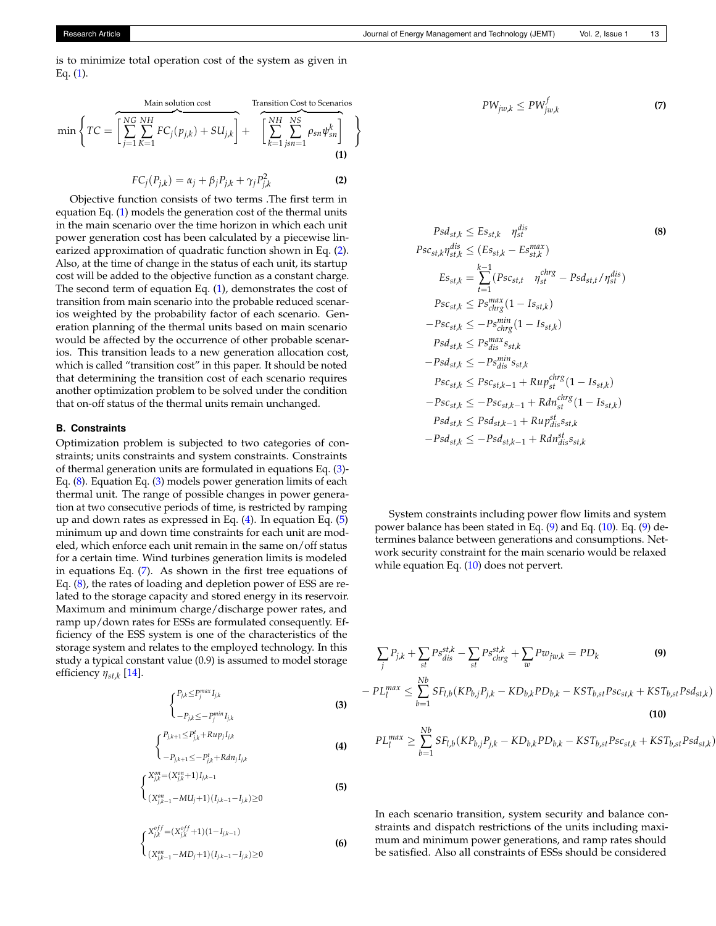is to minimize total operation cost of the system as given in Eq.  $(1)$ .

<span id="page-2-0"></span>
$$
\min\left\{TC = \overbrace{\left[\sum_{j=1}^{NG} \sum_{K=1}^{NH} FC_j(p_{j,k}) + SU_{j,k}\right]}^{\text{Main solution cost}} + \overbrace{\left[\sum_{k=1}^{NH} \sum_{jsn=1}^{NS} \rho_{sn} \psi_{sn}^k\right]}^{\text{Transition Cost to Scenarios}}\right\}
$$
\n(1)

<span id="page-2-1"></span>
$$
FC_j(P_{j,k}) = \alpha_j + \beta_j P_{j,k} + \gamma_j P_{j,k}^2
$$
 (2)

Objective function consists of two terms .The first term in equation Eq. [\(1\)](#page-2-0) models the generation cost of the thermal units in the main scenario over the time horizon in which each unit power generation cost has been calculated by a piecewise linearized approximation of quadratic function shown in Eq. [\(2\)](#page-2-1). Also, at the time of change in the status of each unit, its startup cost will be added to the objective function as a constant charge. The second term of equation Eq. [\(1\)](#page-2-0), demonstrates the cost of transition from main scenario into the probable reduced scenarios weighted by the probability factor of each scenario. Generation planning of the thermal units based on main scenario would be affected by the occurrence of other probable scenarios. This transition leads to a new generation allocation cost, which is called "transition cost" in this paper. It should be noted that determining the transition cost of each scenario requires another optimization problem to be solved under the condition that on-off status of the thermal units remain unchanged.

## **B. Constraints**

Optimization problem is subjected to two categories of constraints; units constraints and system constraints. Constraints of thermal generation units are formulated in equations Eq. [\(3\)](#page-2-2)- Eq. [\(8\)](#page-2-3). Equation Eq. [\(3\)](#page-2-2) models power generation limits of each thermal unit. The range of possible changes in power generation at two consecutive periods of time, is restricted by ramping up and down rates as expressed in Eq.  $(4)$ . In equation Eq.  $(5)$ minimum up and down time constraints for each unit are modeled, which enforce each unit remain in the same on/off status for a certain time. Wind turbines generation limits is modeled in equations Eq. [\(7\)](#page-2-6). As shown in the first tree equations of Eq. [\(8\)](#page-2-3), the rates of loading and depletion power of ESS are related to the storage capacity and stored energy in its reservoir. Maximum and minimum charge/discharge power rates, and ramp up/down rates for ESSs are formulated consequently. Efficiency of the ESS system is one of the characteristics of the storage system and relates to the employed technology. In this study a typical constant value (0.9) is assumed to model storage efficiency *ηst*,*<sup>k</sup>* [\[14\]](#page-8-5).

<span id="page-2-2"></span>
$$
\begin{cases} P_{j,k} \le P_j^{max} I_{j,k} \\ -P_{j,k} \le -P_j^{min} I_{j,k} \end{cases}
$$
 (3)

<span id="page-2-4"></span>
$$
\left\{\n \begin{array}{l}\n P_{j,k+1} \leq P_{j,k}^t + Rup_j I_{j,k}\n \end{array}\n \right.
$$
\n
$$
\tag{4}
$$

$$
\begin{aligned}\n &\bigg(-P_{j,k+1} \leq -P_{j,k}^t + R \, dn_j \, I_{j,k} \\
 &\bigg\{X_{j,k}^{on} = \big(X_{j,k}^{on} + 1\big) \, I_{j,k-1}\n \end{aligned}
$$

<span id="page-2-5"></span>
$$
\begin{cases}\n\sum_{(X_{j,k-1}^{\circ n}-MU_j+1)(I_{j,k-1}-I_{j,k})\geq 0}\n\end{cases}
$$
\n(5)

$$
\begin{cases} X_{j,k}^{off} = (X_{j,k}^{off} + 1)(1 - I_{j,k-1}) \\ (X_{j,k-1}^{on} - MD_j + 1)(I_{j,k-1} - I_{j,k}) \ge 0 \end{cases}
$$
 (6)

<span id="page-2-6"></span><span id="page-2-3"></span>
$$
PW_{jw,k} \le PW_{jw,k}^f \tag{7}
$$

$$
Psd_{st,k} \le Es_{st,k} \eta_{st}^{dis}
$$
\n
$$
Psc_{st,k}\eta_{st,k}^{dis} \le (Es_{st,k} - Es_{st,k}^{max})
$$
\n
$$
Es_{st,k} = \sum_{t=1}^{k-1} (Psc_{st,t} \eta_{st}^{chrs} - Psd_{st,t}/\eta_{st}^{dis})
$$
\n
$$
Psc_{st,k} \le Ps_{chrs}^{max}(1 - Is_{st,k})
$$
\n
$$
-Psc_{st,k} \le -Ps_{chrs}^{min}(1 - Is_{st,k})
$$
\n
$$
Psd_{st,k} \le Ps_{dis}^{max}s_{st,k}
$$
\n
$$
-Psd_{st,k} \le Psc_{st,k-1} + Rup_{st}^{chrs}(1 - Is_{st,k})
$$
\n
$$
-Psc_{st,k} \le Psc_{st,k-1} + Rdn_{st}^{chrs}(1 - Is_{st,k})
$$
\n
$$
Psd_{st,k} \le Psd_{st,k-1} + Rup_{dis}^{st}s_{st,k}
$$
\n
$$
-Psd_{st,k} \le Psd_{st,k-1} + Rhn_{dis}^{st}s_{st,k}
$$

System constraints including power flow limits and system power balance has been stated in Eq. [\(9\)](#page-2-7) and Eq. [\(10\)](#page-2-8). Eq. [\(9\)](#page-2-7) determines balance between generations and consumptions. Network security constraint for the main scenario would be relaxed while equation Eq. [\(10\)](#page-2-8) does not pervert.

<span id="page-2-8"></span><span id="page-2-7"></span>
$$
\sum_{j} P_{j,k} + \sum_{st} P_{s}^{st,k} - \sum_{st} P_{s}^{st,k}_{chrg} + \sum_{w} P_{wjw,k} = PD_{k}
$$
\n(9)  
\n
$$
- PL_{l}^{max} \le \sum_{b=1}^{Nb} SF_{l,b} (KP_{b,j}P_{j,k} - KD_{b,k}PD_{b,k} - KST_{b,st}P_{sc_{st,k}} + KST_{b,st}P_{sd_{st,k})
$$
\n(10)  
\n
$$
PL_{l}^{max} \ge \sum_{b=1}^{Nb} SF_{l,b} (KP_{b,j}P_{j,k} - KD_{b,k}PD_{b,k} - KST_{b,st}P_{sc_{st,k}} + KST_{b,st}P_{sd_{st,k})
$$

In each scenario transition, system security and balance constraints and dispatch restrictions of the units including maximum and minimum power generations, and ramp rates should be satisfied. Also all constraints of ESSs should be considered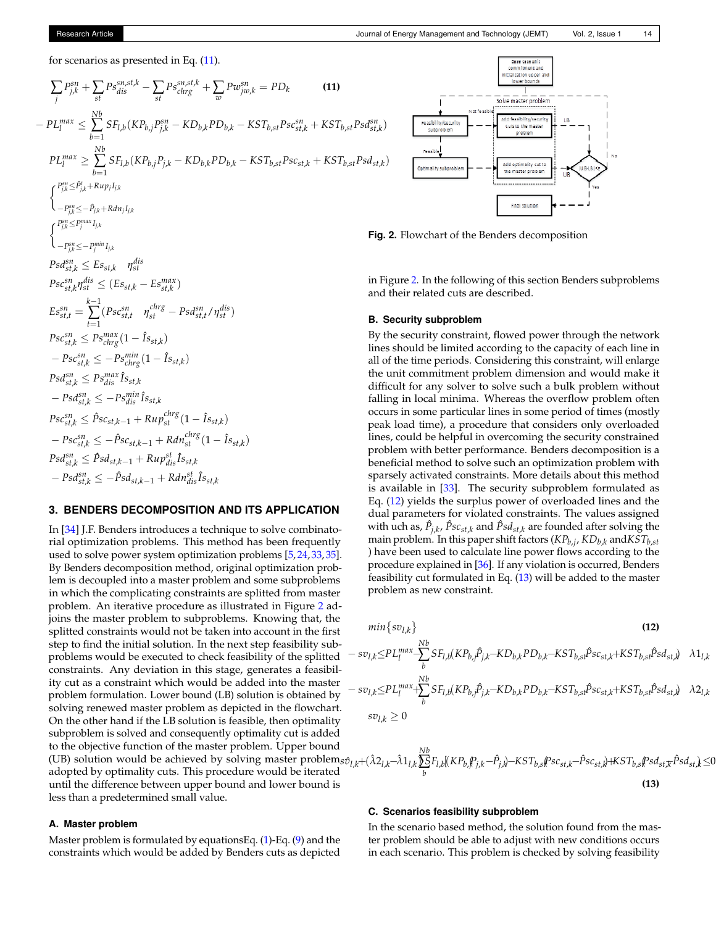for scenarios as presented in Eq.  $(11)$ .

$$
\sum_{j} P_{j,k}^{sn} + \sum_{st} P_{s_{dis}}^{sn,st,k} - \sum_{st} P_{s_{chrg}}^{sn,st,k} + \sum_{w} P_{w_{jw,k}}^{sn} = PD_k
$$
\n(11)  
\n
$$
- PL_{l}^{max} \le \sum_{b=1}^{Nb} SF_{l,b}(KP_{b,j}P_{j,k}^{sn} - KD_{b,k}PD_{b,k} - KST_{b,st}P_{s}c_{st,k}^{sn} + KST_{b,st}P_{s}d_{st,k}^{sn})
$$
\n
$$
PL_{l}^{max} \ge \sum_{b=1}^{Nb} SF_{l,b}(KP_{b,j}P_{j,k} - KD_{b,k}PD_{b,k} - KST_{b,st}P_{s}c_{st,k} + KST_{b,st}P_{s}d_{st,k})
$$
\n
$$
\begin{cases}\nP_{jk}^{sn} \le P_{j,k}^{sn} + Ran_{j,l,k} \\
-P_{jk}^{sn} \le P_{j}^{mn}I_{j,k} \\
-P_{jk}^{sn} \le P_{j}^{mn}I_{j,k}^{rn} \\
S^{st}d_{st,k}^{sn} \le Es_{st,k} \quad \eta_{st}^{dis} \\
P_{s}c_{st,k}^{sn} \eta_{st}^{dis} \le (Es_{st,k} - Es_{st,k}^{max}) \\
E_{s}^{sn} = \sum_{t=1}^{k-1} (P_{s}c_{st,k}^{sn} \quad p_{st}^{chrg} - Ps_{st,k}^{dn} / \eta_{st}^{dis})\n\end{cases}
$$
\n
$$
P_{s}c_{st,k}^{sn} \le P_{s}^{max} (1 - \hat{I}_{sst,k})
$$
\n
$$
P_{s}d_{st,k}^{sn} \le P_{s}^{max} \hat{I}_{sst,k} \qquad \text{the t}
$$
\n
$$
- Ps_{st,k}^{sn} \le P_{s}^{min} \hat{I}_{sst,k} \qquad \text{the t}
$$
\n
$$
P_{s}c_{st,k}^{sn} \le P_{s}c_{st,k-1} + Ru_{s}^{chrs} (1 - \hat{I}_{sst,k})
$$
\n
$$
- Ps_{st,k}^{sn} \le P_{s}c_{st,k-1} + Ru_{s}^{chrs} (1 - \hat{I}_{sst,k})
$$
\n
$$
- Ps_{st,k}^{sn} \le P_{s}d_{st,k-1} +
$$

# <span id="page-3-0"></span>**3. BENDERS DECOMPOSITION AND ITS APPLICATION**

In [\[34\]](#page-8-22) J.F. Benders introduces a technique to solve combinatorial optimization problems. This method has been frequently used to solve power system optimization problems [\[5,](#page-7-4) [24,](#page-8-13) [33,](#page-8-21) [35\]](#page-8-23). By Benders decomposition method, original optimization problem is decoupled into a master problem and some subproblems in which the complicating constraints are splitted from master problem. An iterative procedure as illustrated in Figure [2](#page-5-1) adjoins the master problem to subproblems. Knowing that, the splitted constraints would not be taken into account in the first step to find the initial solution. In the next step feasibility subproblems would be executed to check feasibility of the splitted constraints. Any deviation in this stage, generates a feasibility cut as a constraint which would be added into the master problem formulation. Lower bound (LB) solution is obtained by solving renewed master problem as depicted in the flowchart. On the other hand if the LB solution is feasible, then optimality subproblem is solved and consequently optimality cut is added to the objective function of the master problem. Upper bound (UB) solution would be achieved by solving master problem<sub>s</sub> $\hat{v}_{l,k}$ +( $\hat{\lambda}$ 2<sub>*l*,*k*- $\hat{\lambda}$ 1<sub>*l*,*k*</sub></sub> adopted by optimality cuts. This procedure would be iterated until the difference between upper bound and lower bound is less than a predetermined small value.

## **A. Master problem**

Master problem is formulated by equationsEq. [\(1\)](#page-2-0)-Eq. [\(9\)](#page-2-7) and the constraints which would be added by Benders cuts as depicted

<span id="page-3-2"></span><span id="page-3-1"></span>

**Fig. 2.** Flowchart of the Benders decomposition

in Figure [2.](#page-3-2) In the following of this section Benders subproblems and their related cuts are described.

## **B. Security subproblem**

By the security constraint, flowed power through the network lines should be limited according to the capacity of each line in all of the time periods. Considering this constraint, will enlarge the unit commitment problem dimension and would make it difficult for any solver to solve such a bulk problem without falling in local minima. Whereas the overflow problem often occurs in some particular lines in some period of times (mostly peak load time), a procedure that considers only overloaded lines, could be helpful in overcoming the security constrained problem with better performance. Benders decomposition is a beneficial method to solve such an optimization problem with sparsely activated constraints. More details about this method is available in [\[33\]](#page-8-21). The security subproblem formulated as Eq. [\(12\)](#page-3-3) yields the surplus power of overloaded lines and the dual parameters for violated constraints. The values assigned with uch as,  $\hat{P}_{j,k}$ ,  $\hat{P}_{SCst,k}$  and  $\hat{P}sd_{st,k}$  are founded after solving the main problem. In this paper shift factors (*KPb*,*<sup>j</sup>* , *KDb*,*<sup>k</sup>* and*KSTb*,*st* ) have been used to calculate line power flows according to the procedure explained in [\[36\]](#page-8-24). If any violation is occurred, Benders feasibility cut formulated in Eq. [\(13\)](#page-3-4) will be added to the master problem as new constraint.

<span id="page-3-3"></span>
$$
min\{sv_{l,k}\}\n\qquad (12)
$$
\n
$$
- sv_{l,k} \le PL_1^{max} - \sum_{b}^{Nb} SF_{l,b}(KP_{b,j}\hat{P}_{j,k} - KD_{b,k}PD_{b,k} - KST_{b,st}\hat{P}_{SCst,k} + KST_{b,st}\hat{P}_{Sd_{st,k}}) \quad \lambda 1_{l,k}
$$
\n
$$
- sv_{l,k} \le PL_1^{max} + \sum_{b}^{Nb} SF_{l,b}(KP_{b,j}\hat{P}_{j,k} - KD_{b,k}PD_{b,k} - KST_{b,st}\hat{P}_{SCst,k} + KST_{b,st}\hat{P}_{Sd_{st,k}}) \quad \lambda 2_{l,k}
$$
\n
$$
sv_{l,k} \ge 0
$$

$$
L_{l,k} + (\hat{\lambda}2_{l,k} - \hat{\lambda}1_{l,k})\sum_{b}^{Nb}F_{l,b}[(KP_{b,k}P_{j,k} - \hat{P}_{j,k}) - KST_{b,s}Psc_{st,k} - \hat{P}sc_{st,k}) + KST_{b,s}Psd_{st,k}\hat{P}sd_{st,k} \le 0
$$
\n(13)

# <span id="page-3-4"></span>**C. Scenarios feasibility subproblem**

In the scenario based method, the solution found from the master problem should be able to adjust with new conditions occurs in each scenario. This problem is checked by solving feasibility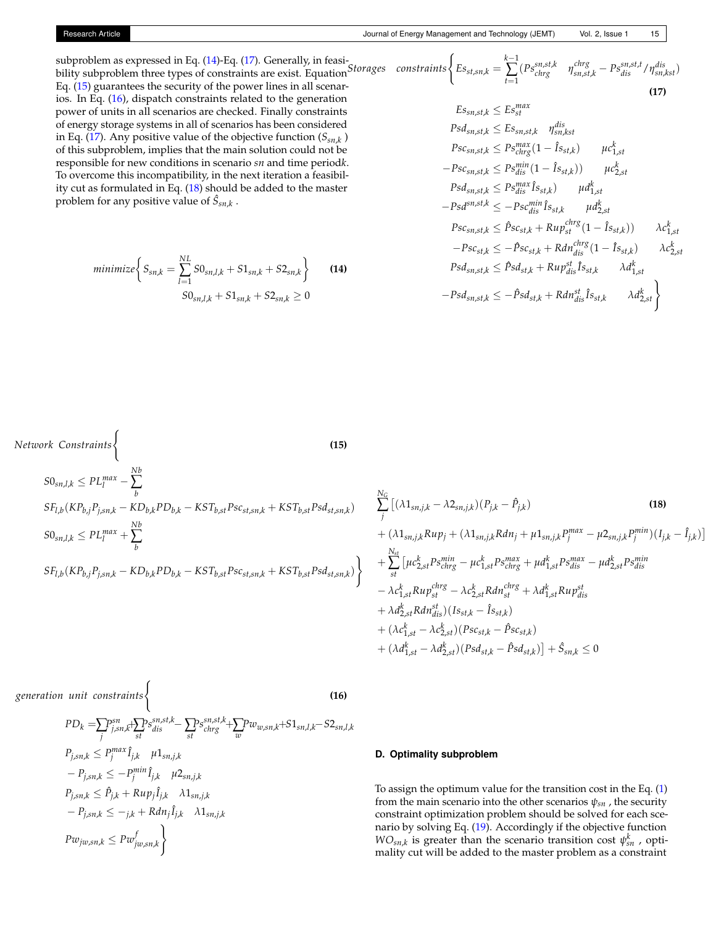subproblem as expressed in Eq. [\(14\)](#page-4-0)-Eq. [\(17\)](#page-4-1). Generally, in feasisubproblem as expressed in Eq. (14)-Eq. (17). Generally, in feasi-<br>bility subproblem three types of constraints are exist. Equation<sup>Storages</sup> constraints Eq. [\(15\)](#page-4-2) guarantees the security of the power lines in all scenarios. In Eq. [\(16\)](#page-4-3), dispatch constraints related to the generation power of units in all scenarios are checked. Finally constraints of energy storage systems in all of scenarios has been considered in Eq. [\(17\)](#page-4-1). Any positive value of the objective function (*Ssn*,*<sup>k</sup>* ) of this subproblem, implies that the main solution could not be responsible for new conditions in scenario *sn* and time period*k*. To overcome this incompatibility, in the next iteration a feasibility cut as formulated in Eq. [\(18\)](#page-4-4) should be added to the master problem for any positive value of  $\hat{S}_{sn,k}$ .

$$
minimize \left\{ S_{sn,k} = \sum_{l=1}^{NL} S0_{sn,l,k} + S1_{sn,k} + S2_{sn,k} \right\}
$$
 (14)  

$$
S0_{sn,l,k} + S1_{sn,k} + S2_{sn,k} \ge 0
$$

<span id="page-4-1"></span>
$$
aints \begin{cases} E_{s_{st,sn,k}} = \sum_{t=1}^{k-1} (Ps_{chrg}^{sn,st,k} & \eta_{sn,st,k}^{chrg} - Ps_{dis}^{sn,st,t} / \eta_{sn,kst}^{dis}) \\ \text{(17)} \\ E_{s_{sn,st,k}} \le E s_{sn}^{max} \\ Psd_{sn,st,k} \le E s_{sn,st,k} & \eta_{sn,kst}^{dis} \\ Psc_{sn,st,k} \le Ps_{chrg}^{max}(1 - \hat{I}_{sst,k}) & \mu c_{1,st}^{k} \\ -Psc_{sn,st,k} \le Ps_{dis}^{min}(1 - \hat{I}_{sst,k}) & \mu d_{1,st}^{k} \\ Psd_{sn,st,k} \le Ps_{dis}^{max} \hat{I}_{sst,k} & \mu d_{2,st}^{k} \\ -Ps d_{sn,st,k} \le \hat{P}sc_{st,k} + Rup_{st}^{chrg}(1 - \hat{I}_{sst,k}) & \lambda c_{1,st}^{k} \\ -Ps c_{st,k} \le \hat{P}sc_{st,k} + Rdn_{dis}^{chrg}(1 - \hat{I}_{sst,k}) & \lambda c_{2,st}^{k} \\ Psd_{sn,st,k} \le \hat{P}sd_{st,k} + Rup_{dis}^{st} \hat{I}_{sst,k} & \lambda d_{1,st}^{k} \\ -Ps d_{sn,st,k} \le -\hat{P}sd_{st,k} + Rdn_{dis}^{st} \hat{I}_{sst,k} & \lambda d_{2,st}^{k} \end{cases}
$$

*Network Constraints*(

*Nb*

<span id="page-4-4"></span><span id="page-4-2"></span><span id="page-4-0"></span>**(15)**

$$
SO_{sn,l,k} \le PL_l^{max} - \sum_b
$$
\n
$$
SU_{1,b}(KP_{b,j}P_{j,sn,k} - KD_{b,k}PD_{b,k} - KST_{b,st}Psc_{st,sn,k} + KST_{b,st}Psd_{st,sn,k})
$$
\n
$$
SO_{sn,l,k} \le PL_l^{max} + \sum_b^{Nb} + (\lambda 1_{sn,j,k}Rup_j + (\lambda 1_{sn,j,k}Rdn_j + \mu 1_{sn,j,k}P_j^{max} - \mu 2_{sn,j,k}P_j^{min})(I_{j,k} - \hat{I}_{j,k})
$$
\n
$$
SU_{1,b}(KP_{b,j}P_{j,sn,k} - KD_{b,k}PD_{b,k} - KST_{b,st}Psc_{st,sn,k} + KST_{b,st}Psd_{st,sn,k})
$$
\n
$$
= \lambda c_{1,sl}^{k} Rup_{st}^{sim} - \lambda c_{2,sl}^{k} Ra_{st}^{sim} + \mu d_{1,sl}^{k} Bs_{dis}^{max} - \mu d_{2,sl}^{k} Ps_{dis}^{min} + \lambda d_{1,sl}^{k} Rup_{dis}^{str} + \lambda d_{1,sl}^{k} Rup_{dis}^{str} + \lambda d_{1,sl}^{k} Rup_{dis}^{str}
$$
\n
$$
+ (\lambda c_{1,sl}^{k} - \lambda c_{2,sl}^{k} Rdn_{is}^{dis})(I_{s,t,k} - \hat{I}_{s,t,k})
$$
\n
$$
+ (\lambda c_{1,sl}^{k} - \lambda c_{2,sl}^{k})(Psd_{st,k} - \hat{P}sc_{st,k})
$$
\n
$$
+ (\lambda c_{1,sl}^{k} - \lambda c_{2,sl}^{k})(Psd_{st,k} - \hat{P}sc_{st,k})
$$

*generation unit constraints*(

<span id="page-4-3"></span>**(16)**

$$
PD_{k} = \sum_{j} P_{j,sn,k}^{sn} + \sum_{st} P_{slis}^{sn,st,k} - \sum_{st} P_{chrg}^{sn,st,k} + \sum_{w} P_{w_{w,sn,k}} + S1_{sn,l,k} - S2_{sn,l,k}
$$
  
\n
$$
P_{j,sn,k} \leq P_{j}^{max} \hat{I}_{j,k} \quad \mu_1_{sn,j,k}
$$
  
\n
$$
- P_{j,sn,k} \leq - P_{j}^{min} \hat{I}_{j,k} \quad \mu_2_{sn,j,k}
$$
  
\n
$$
P_{j,sn,k} \leq \hat{P}_{j,k} + Rup_{j} \hat{I}_{j,k} \quad \lambda_1_{sn,j,k}
$$
  
\n
$$
- P_{j,sn,k} \leq -_{j,k} + Rdn_{j} \hat{I}_{j,k} \quad \lambda_1_{sn,j,k}
$$
  
\n
$$
Pw_{jw,sn,k} \leq Pw_{jw,sn,k}^f
$$

#### **D. Optimality subproblem**

To assign the optimum value for the transition cost in the Eq. [\(1\)](#page-2-0) from the main scenario into the other scenarios *ψsn* , the security constraint optimization problem should be solved for each scenario by solving Eq. [\(19\)](#page-5-2). Accordingly if the objective function  $WO_{sn,k}$  is greater than the scenario transition cost  $\psi_{sn}^k$ , optimality cut will be added to the master problem as a constraint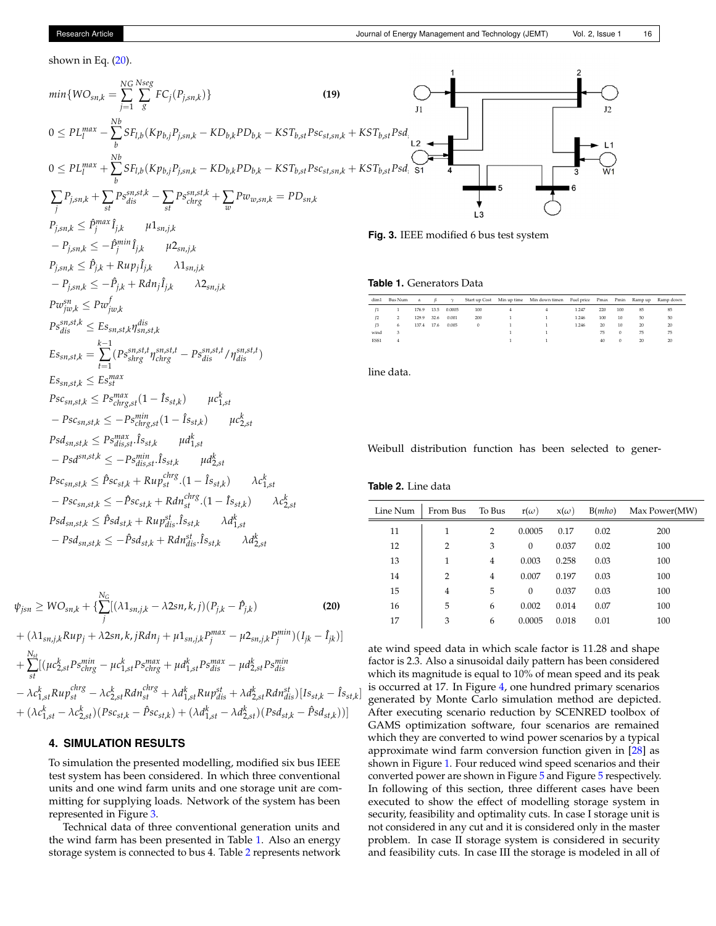$\mathbf 2$ 

<span id="page-5-5"></span><span id="page-5-4"></span><span id="page-5-2"></span> $\mathbf{1}$ 

shown in Eq.  $(20)$ .

$$
min\{WO_{sn,k} = \sum_{j=1}^{NS} \sum_{s}^{NS} FC_{j}(P_{j,sn,k})\}
$$
\n
$$
0 \leq PL_{l}^{max} - \sum_{b}^{NS} SF_{l,b}(Kp_{b,j}P_{j,sn,k} - KD_{b,k}PD_{b,k} - KST_{b,sl}Psc_{st,sn,k} + KST_{b,sl}Psd_{l} - 1
$$
\n
$$
0 \leq PL_{l}^{max} + \sum_{b}^{N} SF_{l,b}(Kp_{b,j}P_{j,sn,k} - KD_{b,k}PD_{b,k} - KST_{b,sl}Psc_{st,sn,k} + KST_{b,sl}Psd_{l} - 1
$$
\n
$$
\sum_{j} P_{j,sn,k} \leq \hat{P}_{j}^{max} \hat{I}_{j,k} \qquad \mu_{3m,j,k}
$$
\n
$$
P_{j,sn,k} \leq \hat{P}_{j}^{max} \hat{I}_{j,k} \qquad \mu_{3m,j,k}
$$
\n
$$
P_{j,sn,k} \leq \hat{P}_{j,k} + Rup_{j} \hat{I}_{j,k} \qquad \lambda_{3m,j,k}
$$
\n
$$
P_{j,sn,k} \leq \hat{P}_{j,k} + Rup_{j} \hat{I}_{j,k} \qquad \lambda_{3m,j,k}
$$
\n
$$
P_{j,sn,k} \leq \hat{P}_{j,k} + Rup_{j} \hat{I}_{j,k} \qquad \lambda_{2m,j,k}
$$
\n
$$
P_{j,sn,k} \leq \hat{P}_{j,k} + Rdn_{j} \hat{I}_{j,k} \qquad \lambda_{2m,j,k}
$$
\n
$$
P_{j,sn,k} \leq \hat{P}_{j,k} + Rdn_{j} \hat{I}_{j,k} \qquad \lambda_{2m,j,k}
$$
\n
$$
P_{j,sn,k} \leq \hat{P}_{j,k} + Rdn_{j} \hat{I}_{j,k} \qquad \lambda_{2m,j,k}
$$
\n
$$
P_{j,sn,k} \leq \hat{P}_{j,m} \leq \hat{P}_{j,m} \leq \hat{P}_{j,m} \leq \hat{P}_{j,m} \leq \hat{P}_{j,m} \leq \hat{P}_{j,m} \leq \hat{P}_{j,m} \leq \hat{P}_{j,m} \leq \hat{P}_{j,m} \leq \hat{P}_{j,m
$$

$$
\psi_{jsn} \geq W O_{sn,k} + \{ \sum_{j}^{N_G} [(\lambda 1_{sn,j,k} - \lambda 2sn, k, j)(P_{j,k} - \hat{P}_{j,k}) \qquad (20)
$$
  
+  $(\lambda 1_{sn,j,k} R u p_j + \lambda 2sn, k, j R d n_j + \mu 1_{sn,j,k} P_j^{max} - \mu 2_{sn,j,k} P_j^{min}) (I_{jk} - \hat{I}_{jk}) ]$   
+  $\sum_{st}^{N_{st}} [(\mu c_{2,st}^k P s_{chrg}^{min} - \mu c_{1,st}^k P s_{chrg}^{max} + \mu d_{1,st}^k P s_{dis}^{max} - \mu d_{2,st}^k P s_{dis}^{min} - \lambda c_{1,st}^k R u p_{st}^{chrg} - \lambda c_{2,st}^k R d n_{st}^{chrg} + \lambda d_{1,st}^k R u p_{dis}^{st} + \lambda d_{2,st}^k R d n_{dis}^{st}) [I s_{st,k} - \hat{I} s_{st,k}]$   
+  $(\lambda c_{1,st}^k - \lambda c_{2,st}^k) (P s c_{st,k} - \hat{P} s c_{st,k}) + (\lambda d_{1,st}^k - \lambda d_{2,st}^k) (P s d_{st,k} - \hat{P} s d_{st,k})]$ 

 $-Psd_{sn,st,k} \leq -\hat{P}sd_{st,k} + Rdn_{dis}^{st}.\hat{I}s_{st,k}$   $\lambda d_{2,st}^{k}$ 

 $\hat{I}s_{st,k}$   $\lambda d_{1,st}^k$ 

# <span id="page-5-0"></span>**4. SIMULATION RESULTS**

 $Psd_{sn,st,k} \leq \hat{P}sd_{st,k} + Rup_{dis}^{st}.$ 

To simulation the presented modelling, modified six bus IEEE test system has been considered. In which three conventional units and one wind farm units and one storage unit are committing for supplying loads. Network of the system has been represented in Figure [3.](#page-5-4)

Technical data of three conventional generation units and the wind farm has been presented in Table [1.](#page-5-5) Also an energy storage system is connected to bus 4. Table [2](#page-5-1) represents network

<span id="page-5-1"></span>Line Num | From Bus To Bus  $r(\omega)$   $x(\omega)$  B(*mho*) Max Power(MW) 11 1 2 0.0005 0.17 0.02 200 12 2 3 0 0.037 0.02 100 13 | 1 4 0.003 0.258 0.03 100 14 2 4 0.007 0.197 0.03 100 15 4 5 0 0.037 0.03 100 16 5 6 0.002 0.014 0.07 100 17 3 6 0.0005 0.018 0.01 100

<span id="page-5-3"></span>ate wind speed data in which scale factor is 11.28 and shape factor is 2.3. Also a sinusoidal daily pattern has been considered which its magnitude is equal to 10% of mean speed and its peak is occurred at 17. In Figure [4,](#page-6-0) one hundred primary scenarios generated by Monte Carlo simulation method are depicted. After executing scenario reduction by SCENRED toolbox of GAMS optimization software, four scenarios are remained which they are converted to wind power scenarios by a typical approximate wind farm conversion function given in [\[28\]](#page-8-17) as shown in Figure [1.](#page-1-1) Four reduced wind speed scenarios and their converted power are shown in Figure [5](#page-6-1) and Figure [5](#page-6-1) respectively. In following of this section, three different cases have been executed to show the effect of modelling storage system in security, feasibility and optimality cuts. In case I storage unit is not considered in any cut and it is considered only in the master problem. In case II storage system is considered in security and feasibility cuts. In case III the storage is modeled in all of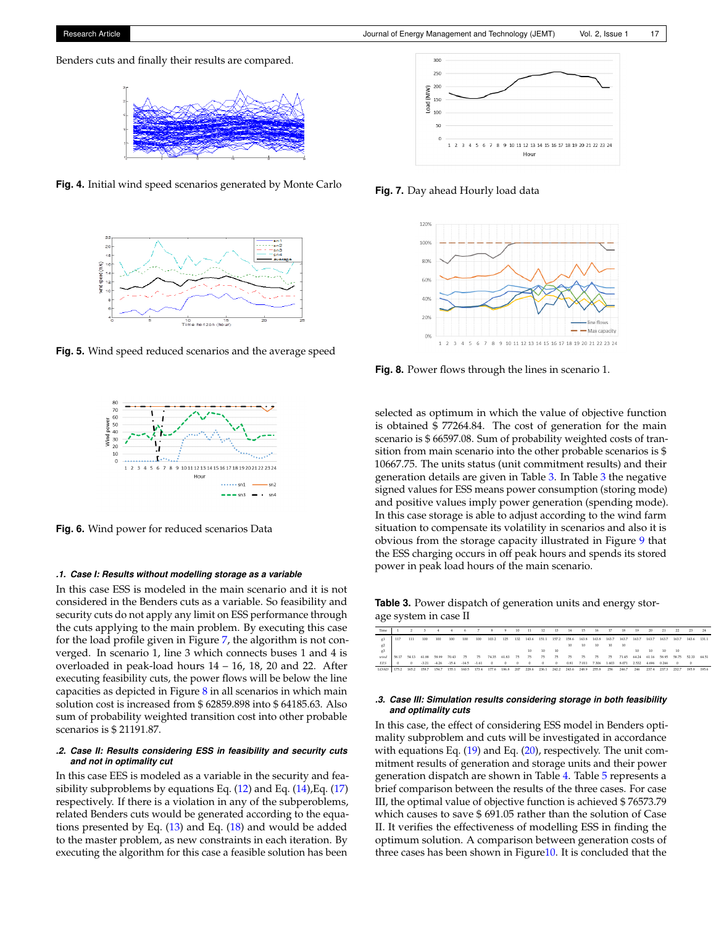<span id="page-6-0"></span>



**Fig. 4.** Initial wind speed scenarios generated by Monte Carlo

<span id="page-6-1"></span>

**Fig. 5.** Wind speed reduced scenarios and the average speed



**Fig. 6.** Wind power for reduced scenarios Data

#### *.1. Case I: Results without modelling storage as a variable*

In this case ESS is modeled in the main scenario and it is not considered in the Benders cuts as a variable. So feasibility and security cuts do not apply any limit on ESS performance through the cuts applying to the main problem. By executing this case for the load profile given in Figure [7,](#page-6-2) the algorithm is not converged. In scenario 1, line 3 which connects buses 1 and 4 is overloaded in peak-load hours 14 – 16, 18, 20 and 22. After executing feasibility cuts, the power flows will be below the line capacities as depicted in Figure [8](#page-6-3) in all scenarios in which main solution cost is increased from \$ 62859.898 into \$ 64185.63. Also sum of probability weighted transition cost into other probable scenarios is \$ 21191.87.

#### *.2. Case II: Results considering ESS in feasibility and security cuts and not in optimality cut*

In this case EES is modeled as a variable in the security and feasibility subproblems by equations Eq.  $(12)$  and Eq.  $(14)$ , Eq.  $(17)$ respectively. If there is a violation in any of the subperoblems, related Benders cuts would be generated according to the equations presented by Eq. [\(13\)](#page-3-4) and Eq. [\(18\)](#page-4-4) and would be added to the master problem, as new constraints in each iteration. By executing the algorithm for this case a feasible solution has been

<span id="page-6-2"></span>

<span id="page-6-3"></span>**Fig. 7.** Day ahead Hourly load data



**Fig. 8.** Power flows through the lines in scenario 1.

selected as optimum in which the value of objective function is obtained \$ 77264.84. The cost of generation for the main scenario is \$ 66597.08. Sum of probability weighted costs of transition from main scenario into the other probable scenarios is \$ 10667.75. The units status (unit commitment results) and their generation details are given in Table [3.](#page-6-4) In Table [3](#page-6-4) the negative signed values for ESS means power consumption (storing mode) and positive values imply power generation (spending mode). In this case storage is able to adjust according to the wind farm situation to compensate its volatility in scenarios and also it is obvious from the storage capacity illustrated in Figure [9](#page-7-8) that the ESS charging occurs in off peak hours and spends its stored power in peak load hours of the main scenario.

<span id="page-6-4"></span>**Table 3.** Power dispatch of generation units and energy storage system in case II

| Time       |       |          |         |       |                     | ٠     |         | 8        | $-9$      | 10       | 11             | 12       | 13       | 14    | 15    | 16    | 17    | 18    | 19    | 20    | 21        | $\mathcal{D}$ | 23       | 24    |
|------------|-------|----------|---------|-------|---------------------|-------|---------|----------|-----------|----------|----------------|----------|----------|-------|-------|-------|-------|-------|-------|-------|-----------|---------------|----------|-------|
| g1         | 117   | 111      | 100     | 100   | 100                 | 100   | 100     | 103.2    | 125       | 132      | 143.6          | 151.1    | 157.2    | 158.6 | 163.8 | 163.8 | 163.7 | 163.7 | 163.7 | 163.7 | 163.7     | 163.7         | 143.6    | 131.1 |
| g2         |       |          |         |       |                     |       |         |          |           |          |                |          |          | 10    | 10    | 10    | 10    | 10    |       |       |           |               |          |       |
| g3         |       |          |         |       |                     |       |         |          |           |          | $10-10$        | 10       | 10       |       |       |       |       |       | 10    | 10    | $10^{-1}$ | 10            |          |       |
| wind       | 58.17 | 54.13    | 61.88   | 58.99 | 70.43               | 75    | - 75    | 74.35    | 61.83 75  |          | - 75           | - 75     | 75       | 75    | 75    | - 75  | 75    | 71.45 | 64.24 | 61.16 | 58.95     | 58.75         | 52.33    | 64.51 |
| <b>EES</b> |       | $\Omega$ | $-3.21$ |       | $-4.26 -15.4 -14.5$ |       | $-1.61$ | $\Omega$ | $\Omega$  | $\Omega$ | $\overline{0}$ | $\Omega$ | $\Omega$ | 0.81  | 7.011 | 7.306 | 1.603 | 8.071 | 2.532 | 4.696 | 0.266     | $\Omega$      | $\Omega$ |       |
| LOAD       | 175.2 | 165.2    | 158.7   | 154.7 | 155.1               | 160.5 | 173.4   | 177.6    | 186.8 207 |          | 228.6          | 236.1    | 242.2    | 243.6 | 248.9 | 255.8 | 256   | 246.7 | 246   | 237.4 | 237.3     | 232.7         | 195.9    | 195.6 |

#### *.3. Case III: Simulation results considering storage in both feasibility and optimality cuts*

In this case, the effect of considering ESS model in Benders optimality subproblem and cuts will be investigated in accordance with equations Eq. [\(19\)](#page-5-2) and Eq. [\(20\)](#page-5-3), respectively. The unit commitment results of generation and storage units and their power generation dispatch are shown in Table [4.](#page-7-9) Table [5](#page-7-10) represents a brief comparison between the results of the three cases. For case III, the optimal value of objective function is achieved \$ 76573.79 which causes to save \$ 691.05 rather than the solution of Case II. It verifies the effectiveness of modelling ESS in finding the optimum solution. A comparison between generation costs of three cases has been shown in Figur[e10.](#page-7-11) It is concluded that the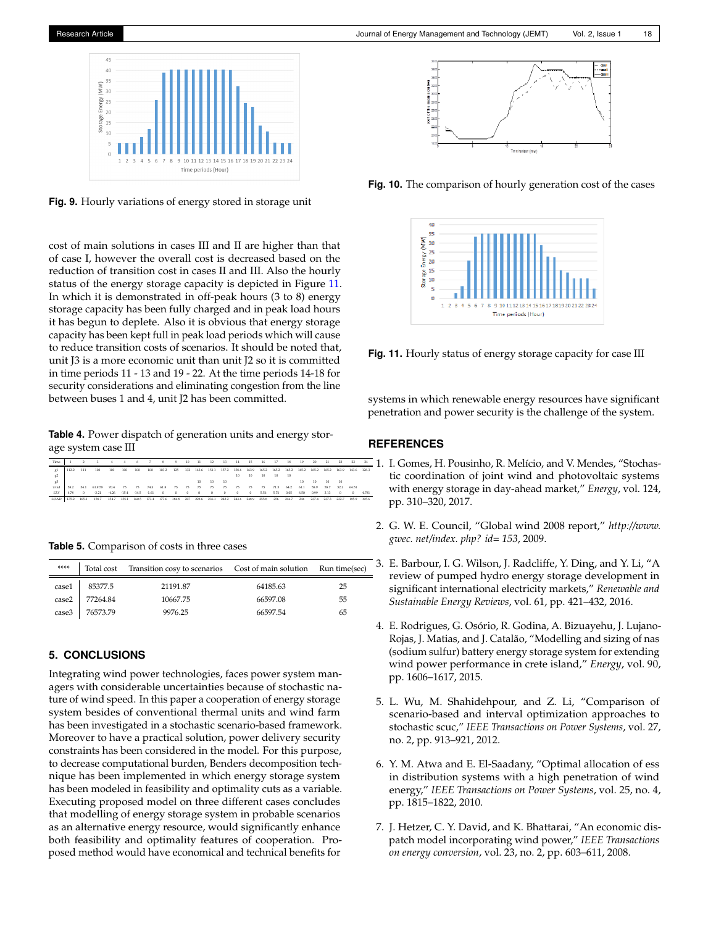<span id="page-7-8"></span>**Fig. 9.** Hourly variations of energy stored in storage unit

cost of main solutions in cases III and II are higher than that of case I, however the overall cost is decreased based on the reduction of transition cost in cases II and III. Also the hourly status of the energy storage capacity is depicted in Figure [11.](#page-7-12) In which it is demonstrated in off-peak hours (3 to 8) energy storage capacity has been fully charged and in peak load hours it has begun to deplete. Also it is obvious that energy storage capacity has been kept full in peak load periods which will cause to reduce transition costs of scenarios. It should be noted that, unit J3 is a more economic unit than unit J2 so it is committed in time periods 11 - 13 and 19 - 22. At the time periods 14-18 for security considerations and eliminating congestion from the line between buses 1 and 4, unit J2 has been committed.

<span id="page-7-9"></span>**Table 4.** Power dispatch of generation units and energy storage system case III

| Time       |       |          |             |       | $\overline{a}$          |       |         | $\sim$   | $-9$     | 10       | 11         | <b>12</b> | 13          | 14           | 15       | 16    | 17    | 18    | 19    | 20                | 21    | 22         | 23          | 24    |
|------------|-------|----------|-------------|-------|-------------------------|-------|---------|----------|----------|----------|------------|-----------|-------------|--------------|----------|-------|-------|-------|-------|-------------------|-------|------------|-------------|-------|
| g1         | 112.2 | 111      | 100         | 100   | 100                     | 100   | 100     | 103.2    | 125      | 132      | 143.6      | 151.1     | 157.2       | 158.6        | 163.9    | 165.2 | 165.2 | 165.2 | 165.2 | 165.2 165.2 163.9 |       |            | 143.6 126.3 |       |
| g2         |       |          |             |       |                         |       |         |          |          |          |            |           |             | 10.          | 10       | 10 10 |       | 10    |       |                   |       |            |             |       |
| $g^2$      |       |          |             |       |                         |       |         |          |          |          | 10.        | 10        | 10          |              |          |       |       |       | 10    | 10                | 10.   | - 10       |             |       |
| wind       | 58.2  |          | 54.1 61.959 | 70.4  | 75                      | 75    | 74.3    | 61.8     | - 75     | - 75     | - 75       | - 75      | - 75        | - 75         | 75       | - 75  | 71.5  | 64.2  | 61.1  | 58.9              | 58.7  | 52.3       | 64.51       |       |
| EES        | 478   | $\Omega$ | $-371$      |       | $-4.26$ $-15.4$ $-14.5$ |       | $-1.61$ | $\sim$ 0 | $\Omega$ | $\Omega$ | $^{\circ}$ | $\Omega$  | $^{\circ}$  | $\mathbf{0}$ | $\theta$ | 5.56  | 5.76  | 0.05  | 6.50  | 0.99              | 3.13  | $^{\circ}$ | $\Omega$    | 4.781 |
| LOAD 175.2 |       | 165.1    | 158.7       | 154.7 | 155.1                   | 160.5 | 173.4   | 177.6    | 186.8    | 207      | 228.6      |           | 236.1 242.2 | 243.6        | 248.9    | 255.8 | 256   | 246.7 | 246   | 237.4             | 237.3 | 232.7      | 195.9       | 195.6 |

<span id="page-7-10"></span>**Table 5.** Comparison of costs in three cases

| ****  |               | Total cost Transition cosy to scenarios Cost of main solution Run time(sec) |          |    |
|-------|---------------|-----------------------------------------------------------------------------|----------|----|
|       | case1 85377.5 | 21191.87                                                                    | 64185.63 | 25 |
| case2 | 77264.84      | 10667.75                                                                    | 66597.08 | 55 |
| case3 | 76573.79      | 9976.25                                                                     | 66597.54 | 65 |

# <span id="page-7-7"></span>**5. CONCLUSIONS**

Integrating wind power technologies, faces power system managers with considerable uncertainties because of stochastic nature of wind speed. In this paper a cooperation of energy storage system besides of conventional thermal units and wind farm has been investigated in a stochastic scenario-based framework. Moreover to have a practical solution, power delivery security constraints has been considered in the model. For this purpose, to decrease computational burden, Benders decomposition technique has been implemented in which energy storage system has been modeled in feasibility and optimality cuts as a variable. Executing proposed model on three different cases concludes that modelling of energy storage system in probable scenarios as an alternative energy resource, would significantly enhance both feasibility and optimality features of cooperation. Proposed method would have economical and technical benefits for

<span id="page-7-11"></span>

<span id="page-7-12"></span>**Fig. 10.** The comparison of hourly generation cost of the cases



**Fig. 11.** Hourly status of energy storage capacity for case III

systems in which renewable energy resources have significant penetration and power security is the challenge of the system.

# **REFERENCES**

- <span id="page-7-0"></span>1. I. Gomes, H. Pousinho, R. Melício, and V. Mendes, "Stochastic coordination of joint wind and photovoltaic systems with energy storage in day-ahead market," *Energy*, vol. 124, pp. 310–320, 2017.
- <span id="page-7-1"></span>2. G. W. E. Council, "Global wind 2008 report," *http://www. gwec. net/index. php? id= 153*, 2009.
- <span id="page-7-2"></span>3. E. Barbour, I. G. Wilson, J. Radcliffe, Y. Ding, and Y. Li, "A review of pumped hydro energy storage development in significant international electricity markets," *Renewable and Sustainable Energy Reviews*, vol. 61, pp. 421–432, 2016.
- <span id="page-7-3"></span>4. E. Rodrigues, G. Osório, R. Godina, A. Bizuayehu, J. Lujano-Rojas, J. Matias, and J. Catalão, "Modelling and sizing of nas (sodium sulfur) battery energy storage system for extending wind power performance in crete island," *Energy*, vol. 90, pp. 1606–1617, 2015.
- <span id="page-7-4"></span>5. L. Wu, M. Shahidehpour, and Z. Li, "Comparison of scenario-based and interval optimization approaches to stochastic scuc," *IEEE Transactions on Power Systems*, vol. 27, no. 2, pp. 913–921, 2012.
- <span id="page-7-5"></span>6. Y. M. Atwa and E. El-Saadany, "Optimal allocation of ess in distribution systems with a high penetration of wind energy," *IEEE Transactions on Power Systems*, vol. 25, no. 4, pp. 1815–1822, 2010.
- <span id="page-7-6"></span>7. J. Hetzer, C. Y. David, and K. Bhattarai, "An economic dispatch model incorporating wind power," *IEEE Transactions on energy conversion*, vol. 23, no. 2, pp. 603–611, 2008.